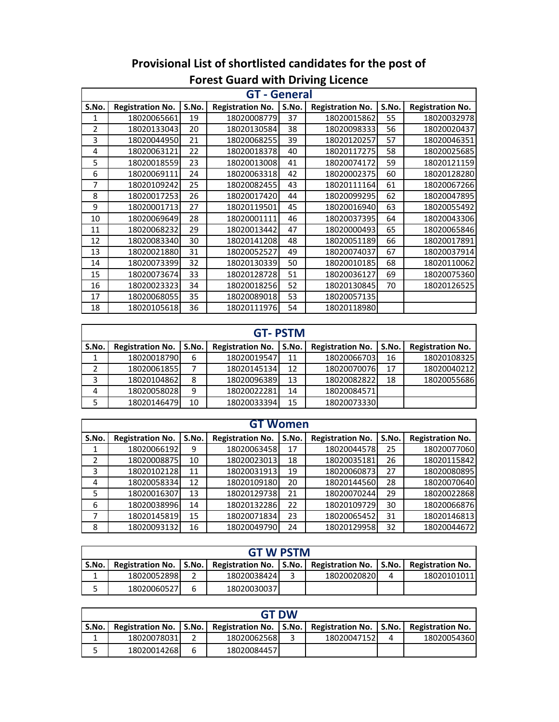|                |                         |       | <b>GT - General</b>     |       |                         |       |                         |
|----------------|-------------------------|-------|-------------------------|-------|-------------------------|-------|-------------------------|
| S.No.          | <b>Registration No.</b> | S.No. | <b>Registration No.</b> | S.No. | <b>Registration No.</b> | S.No. | <b>Registration No.</b> |
| 1              | 18020065661             | 19    | 18020008779             | 37    | 18020015862             | 55    | 18020032978             |
| $\overline{2}$ | 18020133043             | 20    | 18020130584             | 38    | 18020098333             | 56    | 18020020437             |
| 3              | 18020044950             | 21    | 18020068255             | 39    | 18020120257             | 57    | 18020046351             |
| 4              | 18020063121             | 22    | 18020018378             | 40    | 18020117275             | 58    | 18020025685             |
| 5              | 18020018559             | 23    | 18020013008             | 41    | 18020074172             | 59    | 18020121159             |
| 6              | 18020069111             | 24    | 18020063318             | 42    | 18020002375             | 60    | 18020128280             |
| 7              | 18020109242             | 25    | 18020082455             | 43    | 18020111164             | 61    | 18020067266             |
| 8              | 18020017253             | 26    | 18020017420             | 44    | 18020099295             | 62    | 18020047895             |
| 9              | 18020001713             | 27    | 18020119501             | 45    | 18020016940             | 63    | 18020055492             |
| 10             | 18020069649             | 28    | 18020001111             | 46    | 18020037395             | 64    | 18020043306             |
| 11             | 18020068232             | 29    | 18020013442             | 47    | 18020000493             | 65    | 18020065846             |
| 12             | 18020083340             | 30    | 18020141208             | 48    | 18020051189             | 66    | 18020017891             |
| 13             | 18020021880             | 31    | 18020052527             | 49    | 18020074037             | 67    | 18020037914             |
| 14             | 18020073399             | 32    | 18020130339             | 50    | 18020010185             | 68    | 18020110062             |
| 15             | 18020073674             | 33    | 18020128728             | 51    | 18020036127             | 69    | 18020075360             |
| 16             | 18020023323             | 34    | 18020018256             | 52    | 18020130845             | 70    | 18020126525             |
| 17             | 18020068055             | 35    | 18020089018             | 53    | 18020057135             |       |                         |
| 18             | 18020105618             | 36    | 18020111976             | 54    | 18020118980             |       |                         |

## **Provisional List of shortlisted candidates for the post of Forest Guard with Driving Licence**

|       | <b>GT-PSTM</b>          |         |                         |       |                         |       |                         |  |  |  |  |  |
|-------|-------------------------|---------|-------------------------|-------|-------------------------|-------|-------------------------|--|--|--|--|--|
| S.No. | <b>Registration No.</b> | S.No. l | <b>Registration No.</b> | S.No. | <b>Registration No.</b> | S.No. | <b>Registration No.</b> |  |  |  |  |  |
| 1     | 18020018790             | 6       | 18020019547             | 11    | 18020066703             | 16    | 18020108325             |  |  |  |  |  |
|       | 18020061855             |         | 18020145134             | 12    | 18020070076             | 17    | 18020040212             |  |  |  |  |  |
| 3     | 18020104862             | 8       | 18020096389             | 13    | 18020082822             | 18    | 18020055686             |  |  |  |  |  |
| 4     | 18020058028             | 9       | 18020022281             | 14    | 18020084571             |       |                         |  |  |  |  |  |
| 5     | 18020146479             | 10      | 18020033394             | 15    | 18020073330             |       |                         |  |  |  |  |  |

|       |                         |       | <b>GT Women</b>         |       |                         |       |                         |
|-------|-------------------------|-------|-------------------------|-------|-------------------------|-------|-------------------------|
| S.No. | <b>Registration No.</b> | S.No. | <b>Registration No.</b> | S.No. | <b>Registration No.</b> | S.No. | <b>Registration No.</b> |
| 1     | 18020066192             | 9     | 18020063458             | 17    | 18020044578             | 25    | 18020077060             |
| 2     | 18020008875             | 10    | 18020023013             | 18    | 18020035181             | 26    | 18020115842             |
| 3     | 18020102128             | 11    | 18020031913             | 19    | 18020060873             | 27    | 18020080895             |
| 4     | 18020058334             | 12    | 18020109180             | 20    | 18020144560             | 28    | 18020070640             |
| 5     | 18020016307             | 13    | 18020129738             | 21    | 18020070244             | 29    | 18020022868             |
| 6     | 18020038996             | 14    | 18020132286             | 22    | 18020109729             | 30    | 18020066876             |
| 7     | 18020145819             | 15    | 18020071834             | 23    | 18020065452             | 31    | 18020146813             |
| 8     | 18020093132             | 16    | 18020049790             | 24    | 18020129958             | 32    | 18020044672             |

| <b>GT W PSTM</b> |             |  |             |  |                                                                                                   |   |             |  |  |  |  |
|------------------|-------------|--|-------------|--|---------------------------------------------------------------------------------------------------|---|-------------|--|--|--|--|
| S.No.            |             |  |             |  | Registration No.   S.No.   Registration No.   S.No.   Registration No.   S.No.   Registration No. |   |             |  |  |  |  |
|                  | 18020052898 |  | 18020038424 |  | 18020020820                                                                                       | 4 | 18020101011 |  |  |  |  |
| ٮ                | 18020060527 |  | 18020030037 |  |                                                                                                   |   |             |  |  |  |  |

|       | <b>GT DW</b> |   |             |  |                                                                                                   |  |             |  |  |  |  |  |
|-------|--------------|---|-------------|--|---------------------------------------------------------------------------------------------------|--|-------------|--|--|--|--|--|
| S.No. |              |   |             |  | Registration No.   S.No.   Registration No.   S.No.   Registration No.   S.No.   Registration No. |  |             |  |  |  |  |  |
|       | 18020078031  |   | 18020062568 |  | 18020047152                                                                                       |  | 18020054360 |  |  |  |  |  |
|       | 18020014268  | 6 | 18020084457 |  |                                                                                                   |  |             |  |  |  |  |  |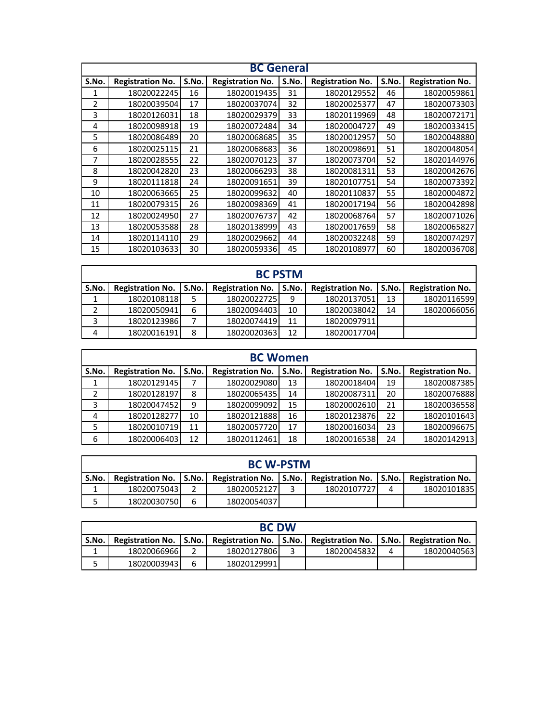|                |                         |       | <b>BC</b> General       |       |                         |       |                         |
|----------------|-------------------------|-------|-------------------------|-------|-------------------------|-------|-------------------------|
| S.No.          | <b>Registration No.</b> | S.No. | <b>Registration No.</b> | S.No. | <b>Registration No.</b> | S.No. | <b>Registration No.</b> |
| 1              | 18020022245             | 16    | 18020019435             | 31    | 18020129552             | 46    | 18020059861             |
| $\overline{2}$ | 18020039504             | 17    | 18020037074             | 32    | 18020025377             | 47    | 18020073303             |
| 3              | 18020126031             | 18    | 18020029379             | 33    | 18020119969             | 48    | 18020072171             |
| 4              | 18020098918             | 19    | 18020072484             | 34    | 18020004727             | 49    | 18020033415             |
| 5              | 18020086489             | 20    | 18020068685             | 35    | 18020012957             | 50    | 18020048880             |
| 6              | 18020025115             | 21    | 18020068683             | 36    | 18020098691             | 51    | 18020048054             |
| 7              | 18020028555             | 22    | 18020070123             | 37    | 18020073704             | 52    | 18020144976             |
| 8              | 18020042820             | 23    | 18020066293             | 38    | 18020081311             | 53    | 18020042676             |
| 9              | 18020111818             | 24    | 18020091651             | 39    | 18020107751             | 54    | 18020073392             |
| 10             | 18020063665             | 25    | 18020099632             | 40    | 18020110837             | 55    | 18020004872             |
| 11             | 18020079315             | 26    | 18020098369             | 41    | 18020017194             | 56    | 18020042898             |
| 12             | 18020024950             | 27    | 18020076737             | 42    | 18020068764             | 57    | 18020071026             |
| 13             | 18020053588             | 28    | 18020138999             | 43    | 18020017659             | 58    | 18020065827             |
| 14             | 18020114110             | 29    | 18020029662             | 44    | 18020032248             | 59    | 18020074297             |
| 15             | 18020103633             | 30    | 18020059336             | 45    | 18020108977             | 60    | 18020036708             |
|                |                         |       |                         |       |                         |       |                         |

|       | <b>BC PSTM</b>           |   |                         |       |                         |       |                         |  |  |  |  |  |
|-------|--------------------------|---|-------------------------|-------|-------------------------|-------|-------------------------|--|--|--|--|--|
| S.No. | Registration No.   S.No. |   | <b>Registration No.</b> | S.No. | <b>Registration No.</b> | S.No. | <b>Registration No.</b> |  |  |  |  |  |
|       | 18020108118              |   | 18020022725             | 9     | 18020137051             | 13    | 18020116599             |  |  |  |  |  |
|       | 18020050941              | 6 | 18020094403             | 10    | 18020038042             | 14    | 18020066056             |  |  |  |  |  |
|       | 18020123986              |   | 18020074419             | 11    | 18020097911             |       |                         |  |  |  |  |  |
| 4     | 18020016191              | 8 | 18020020363             | 12    | 18020017704             |       |                         |  |  |  |  |  |

|                                                                                                                                              | <b>BC Women</b> |    |              |    |             |    |             |  |  |  |  |  |
|----------------------------------------------------------------------------------------------------------------------------------------------|-----------------|----|--------------|----|-------------|----|-------------|--|--|--|--|--|
| S.No.<br>S.No.<br><b>Registration No.</b><br><b>Registration No.</b><br>S.No.<br><b>Registration No.</b><br><b>Registration No.</b><br>S.No. |                 |    |              |    |             |    |             |  |  |  |  |  |
|                                                                                                                                              | 18020129145     | 7  | 18020029080  | 13 | 18020018404 | 19 | 18020087385 |  |  |  |  |  |
| ำ                                                                                                                                            | 18020128197     | 8  | 18020065435  | 14 | 18020087311 | 20 | 18020076888 |  |  |  |  |  |
| 3                                                                                                                                            | 18020047452     | 9  | 180200990921 | 15 | 18020002610 | 21 | 18020036558 |  |  |  |  |  |
| 4                                                                                                                                            | 18020128277     | 10 | 18020121888  | 16 | 18020123876 | 22 | 18020101643 |  |  |  |  |  |
| 5                                                                                                                                            | 18020010719     | 11 | 18020057720  | 17 | 18020016034 | 23 | 18020096675 |  |  |  |  |  |
| 6                                                                                                                                            | 18020006403     | 12 | 18020112461  | 18 | 18020016538 | 24 | 18020142913 |  |  |  |  |  |
|                                                                                                                                              |                 |    |              |    |             |    |             |  |  |  |  |  |

|                                                                                                              | <b>BC W-PSTM</b> |   |             |  |             |  |             |  |  |  |  |
|--------------------------------------------------------------------------------------------------------------|------------------|---|-------------|--|-------------|--|-------------|--|--|--|--|
| Registration No.   S.No.   Registration No.   S.No.   Registration No.   S.No.   Registration No.  <br>S.No. |                  |   |             |  |             |  |             |  |  |  |  |
|                                                                                                              | 18020075043      |   | 18020052127 |  | 18020107727 |  | 18020101835 |  |  |  |  |
|                                                                                                              | 18020030750      | հ | 18020054037 |  |             |  |             |  |  |  |  |

| <b>BC DW</b> |                                                                                                   |   |              |  |             |  |             |  |  |  |  |
|--------------|---------------------------------------------------------------------------------------------------|---|--------------|--|-------------|--|-------------|--|--|--|--|
| S.No. l      | Registration No.   S.No.   Registration No.   S.No.   Registration No.   S.No.   Registration No. |   |              |  |             |  |             |  |  |  |  |
|              | 18020066966                                                                                       |   | 18020127806  |  | 18020045832 |  | 18020040563 |  |  |  |  |
|              | 18020003943                                                                                       | հ | 180201299911 |  |             |  |             |  |  |  |  |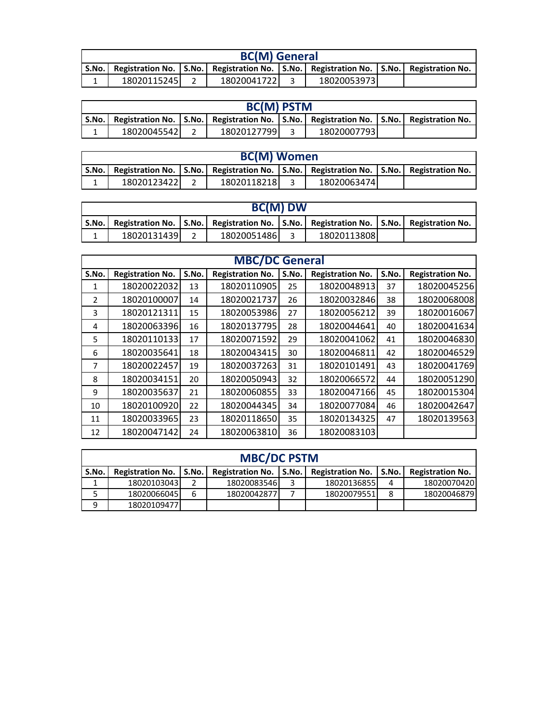| <b>BC(M)</b> General                                                                        |  |             |  |              |  |  |  |  |  |
|---------------------------------------------------------------------------------------------|--|-------------|--|--------------|--|--|--|--|--|
| S.No. Registration No. S.No. Registration No. S.No. Registration No. S.No. Registration No. |  |             |  |              |  |  |  |  |  |
| 18020115245                                                                                 |  | 18020041722 |  | 180200539731 |  |  |  |  |  |

| <b>BC(M) PSTM</b> |                                                                                                           |  |             |  |              |  |  |  |  |
|-------------------|-----------------------------------------------------------------------------------------------------------|--|-------------|--|--------------|--|--|--|--|
|                   | S.No.   Registration No.   S.No.   Registration No.   S.No.   Registration No.   S.No.   Registration No. |  |             |  |              |  |  |  |  |
|                   | 18020045542                                                                                               |  | 18020127799 |  | 180200077931 |  |  |  |  |

| <b>BC(M) Women</b> |             |  |             |  |                                                                                                   |  |  |  |  |  |  |
|--------------------|-------------|--|-------------|--|---------------------------------------------------------------------------------------------------|--|--|--|--|--|--|
| S.No.              |             |  |             |  | Registration No.   S.No.   Registration No.   S.No.   Registration No.   S.No.   Registration No. |  |  |  |  |  |  |
| <b>.</b>           | 18020123422 |  | 18020118218 |  | 18020063474                                                                                       |  |  |  |  |  |  |

| <b>BC(M) DW</b> |                                                                                                              |  |             |  |             |  |  |  |  |  |
|-----------------|--------------------------------------------------------------------------------------------------------------|--|-------------|--|-------------|--|--|--|--|--|
|                 | Registration No.   S.No.   Registration No.   S.No.   Registration No.   S.No.   Registration No.<br>S.No. I |  |             |  |             |  |  |  |  |  |
|                 | 18020131439                                                                                                  |  | 18020051486 |  | 18020113808 |  |  |  |  |  |

|                |                         |       | <b>MBC/DC General</b>   |       |                         |       |                         |
|----------------|-------------------------|-------|-------------------------|-------|-------------------------|-------|-------------------------|
| S.No.          | <b>Registration No.</b> | S.No. | <b>Registration No.</b> | S.No. | <b>Registration No.</b> | S.No. | <b>Registration No.</b> |
| 1              | 18020022032             | 13    | 18020110905             | 25    | 18020048913             | 37    | 18020045256             |
| $\mathfrak{p}$ | 18020100007             | 14    | 18020021737             | 26    | 18020032846             | 38    | 18020068008             |
| 3              | 18020121311             | 15    | 18020053986             | 27    | 18020056212             | 39    | 18020016067             |
| 4              | 18020063396             | 16    | 18020137795             | 28    | 18020044641             | 40    | 18020041634             |
| 5              | 18020110133             | 17    | 18020071592             | 29    | 18020041062             | 41    | 18020046830             |
| 6              | 18020035641             | 18    | 18020043415             | 30    | 18020046811             | 42    | 18020046529             |
| 7              | 18020022457             | 19    | 18020037263             | 31    | 18020101491             | 43    | 18020041769             |
| 8              | 18020034151             | 20    | 18020050943             | 32    | 18020066572             | 44    | 18020051290             |
| 9              | 18020035637             | 21    | 18020060855             | 33    | 18020047166             | 45    | 18020015304             |
| 10             | 18020100920             | 22    | 18020044345             | 34    | 18020077084             | 46    | 18020042647             |
| 11             | 18020033965             | 23    | 18020118650             | 35    | 18020134325             | 47    | 18020139563             |
| 12             | 18020047142             | 24    | 18020063810             | 36    | 18020083103             |       |                         |

| <b>MBC/DC PSTM</b> |                          |   |             |   |                                                     |   |                         |  |  |  |  |  |
|--------------------|--------------------------|---|-------------|---|-----------------------------------------------------|---|-------------------------|--|--|--|--|--|
| S.No.              | Registration No.   S.No. |   |             |   | Registration No.   S.No.   Registration No.   S.No. |   | <b>Registration No.</b> |  |  |  |  |  |
|                    | 18020103043              |   | 18020083546 | 3 | 18020136855                                         | 4 | 18020070420             |  |  |  |  |  |
|                    | 18020066045              | 6 | 18020042877 |   | 18020079551                                         | 8 | 18020046879             |  |  |  |  |  |
| 9                  | 18020109477              |   |             |   |                                                     |   |                         |  |  |  |  |  |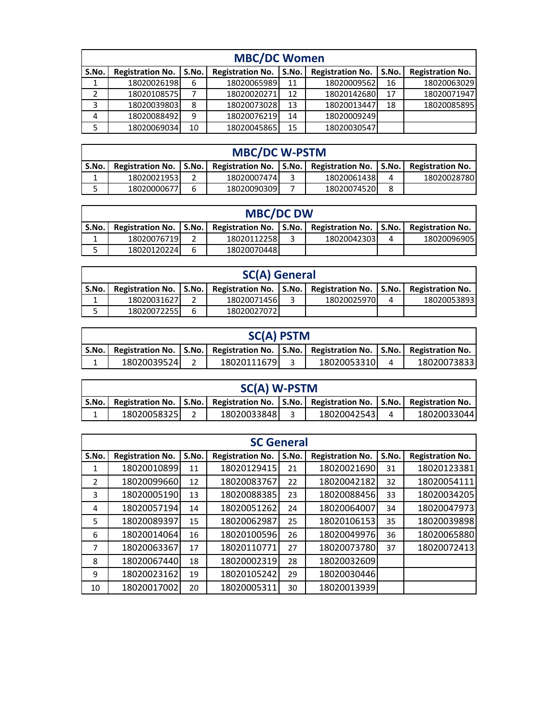|       | <b>MBC/DC Women</b>     |       |                         |       |                         |       |                         |  |  |  |  |  |  |
|-------|-------------------------|-------|-------------------------|-------|-------------------------|-------|-------------------------|--|--|--|--|--|--|
| S.No. | <b>Registration No.</b> | S.No. | <b>Registration No.</b> | S.No. | <b>Registration No.</b> | S.No. | <b>Registration No.</b> |  |  |  |  |  |  |
|       | 18020026198             | 6     | 18020065989             | 11    | 18020009562             | 16    | 18020063029             |  |  |  |  |  |  |
|       | 18020108575             |       | 18020020271             | 12    | 18020142680             | 17    | 18020071947             |  |  |  |  |  |  |
| 3     | 18020039803             | 8     | 18020073028             | 13    | 18020013447             | 18    | 18020085895             |  |  |  |  |  |  |
| 4     | 18020088492             | 9     | 18020076219             | 14    | 18020009249             |       |                         |  |  |  |  |  |  |
| 5     | 18020069034             | 10    | 18020045865             | 15    | 18020030547             |       |                         |  |  |  |  |  |  |

| <b>MBC/DC W-PSTM</b> |                                                                                                           |          |             |  |             |   |             |  |  |  |  |
|----------------------|-----------------------------------------------------------------------------------------------------------|----------|-------------|--|-------------|---|-------------|--|--|--|--|
|                      | S.No.   Registration No.   S.No.   Registration No.   S.No.   Registration No.   S.No.   Registration No. |          |             |  |             |   |             |  |  |  |  |
|                      | 18020021953                                                                                               |          | 18020007474 |  | 18020061438 |   | 18020028780 |  |  |  |  |
|                      | 18020000677                                                                                               | <b>б</b> | 18020090309 |  | 18020074520 | 8 |             |  |  |  |  |

| <b>MBC/DC DW</b> |                                                                                                   |   |              |  |             |   |             |  |  |  |  |
|------------------|---------------------------------------------------------------------------------------------------|---|--------------|--|-------------|---|-------------|--|--|--|--|
| S.No.            | Registration No.   S.No.   Registration No.   S.No.   Registration No.   S.No.   Registration No. |   |              |  |             |   |             |  |  |  |  |
|                  | 18020076719                                                                                       |   | 18020112258  |  | 18020042303 | 4 | 18020096905 |  |  |  |  |
|                  | 18020120224                                                                                       | ĥ | 18020070448l |  |             |   |             |  |  |  |  |

| <b>SC(A) General</b> |                                                                                       |  |             |  |             |  |             |  |  |  |  |
|----------------------|---------------------------------------------------------------------------------------|--|-------------|--|-------------|--|-------------|--|--|--|--|
| S.No.                | Registration No. S.No. Registration No. S.No. Registration No. S.No. Registration No. |  |             |  |             |  |             |  |  |  |  |
|                      | 18020031627                                                                           |  | 18020071456 |  | 18020025970 |  | 18020053893 |  |  |  |  |
|                      | 18020072255<br>ĥ<br>18020027072                                                       |  |             |  |             |  |             |  |  |  |  |

| <b>SC(A) PSTM</b> |                                                                                                           |  |             |  |             |  |              |  |  |  |  |
|-------------------|-----------------------------------------------------------------------------------------------------------|--|-------------|--|-------------|--|--------------|--|--|--|--|
|                   | S.No.   Registration No.   S.No.   Registration No.   S.No.   Registration No.   S.No.   Registration No. |  |             |  |             |  |              |  |  |  |  |
|                   | 18020039524                                                                                               |  | 18020111679 |  | 18020053310 |  | 180200738331 |  |  |  |  |

|         | SC(A) W-PSTM |  |                                                                                                   |  |             |  |             |  |  |  |  |
|---------|--------------|--|---------------------------------------------------------------------------------------------------|--|-------------|--|-------------|--|--|--|--|
| S.No. I |              |  | Registration No.   S.No.   Registration No.   S.No.   Registration No.   S.No.   Registration No. |  |             |  |             |  |  |  |  |
|         | 18020058325  |  | 18020033848                                                                                       |  | 18020042543 |  | 18020033044 |  |  |  |  |
|         |              |  |                                                                                                   |  |             |  |             |  |  |  |  |

|                | <b>SC General</b>       |       |                         |       |                         |       |                         |  |  |  |  |  |  |
|----------------|-------------------------|-------|-------------------------|-------|-------------------------|-------|-------------------------|--|--|--|--|--|--|
| S.No.          | <b>Registration No.</b> | S.No. | <b>Registration No.</b> | S.No. | <b>Registration No.</b> | S.No. | <b>Registration No.</b> |  |  |  |  |  |  |
| 1              | 18020010899             | 11    | 18020129415             | 21    | 18020021690             | 31    | 18020123381             |  |  |  |  |  |  |
| $\overline{2}$ | 18020099660             | 12    | 18020083767             | 22    | 18020042182             | 32    | 18020054111             |  |  |  |  |  |  |
| 3              | 18020005190             | 13    | 18020088385             | 23    | 18020088456             | 33    | 18020034205             |  |  |  |  |  |  |
| 4              | 18020057194             | 14    | 18020051262             | 24    | 18020064007             | 34    | 18020047973             |  |  |  |  |  |  |
| 5              | 18020089397             | 15    | 18020062987             | 25    | 18020106153             | 35    | 18020039898             |  |  |  |  |  |  |
| 6              | 18020014064             | 16    | 18020100596             | 26    | 18020049976             | 36    | 18020065880             |  |  |  |  |  |  |
| 7              | 18020063367             | 17    | 18020110771             | 27    | 18020073780             | 37    | 18020072413             |  |  |  |  |  |  |
| 8              | 18020067440             | 18    | 18020002319             | 28    | 18020032609             |       |                         |  |  |  |  |  |  |
| 9              | 18020023162             | 19    | 18020105242             | 29    | 18020030446             |       |                         |  |  |  |  |  |  |
| 10             | 18020017002             | 20    | 18020005311             | 30    | 18020013939             |       |                         |  |  |  |  |  |  |